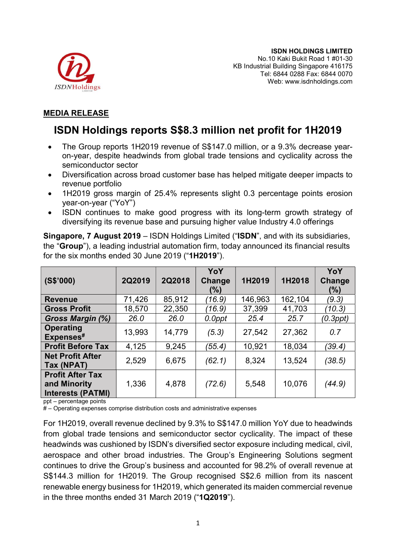

## MEDIA RELEASE

## ISDN Holdings reports S\$8.3 million net profit for 1H2019

- The Group reports 1H2019 revenue of S\$147.0 million, or a 9.3% decrease yearon-year, despite headwinds from global trade tensions and cyclicality across the semiconductor sector
- Diversification across broad customer base has helped mitigate deeper impacts to revenue portfolio
- 1H2019 gross margin of 25.4% represents slight 0.3 percentage points erosion year-on-year ("YoY")
- ISDN continues to make good progress with its long-term growth strategy of diversifying its revenue base and pursuing higher value Industry 4.0 offerings

Singapore, 7 August 2019 – ISDN Holdings Limited ("ISDN", and with its subsidiaries, the "Group"), a leading industrial automation firm, today announced its financial results for the six months ended 30 June 2019 ("1H2019").

|                          |        |        | YoY    |         |         | YoY      |
|--------------------------|--------|--------|--------|---------|---------|----------|
| (S\$'000)                | 2Q2019 | 2Q2018 | Change | 1H2019  | 1H2018  | Change   |
|                          |        |        | (%)    |         |         | (%)      |
| <b>Revenue</b>           | 71,426 | 85,912 | (16.9) | 146,963 | 162,104 | (9.3)    |
| <b>Gross Profit</b>      | 18,570 | 22,350 | (16.9) | 37,399  | 41,703  | (10.3)   |
| Gross Margin (%)         | 26.0   | 26.0   | 0.0ppt | 25.4    | 25.7    | (0.3ppt) |
| <b>Operating</b>         | 13,993 | 14,779 |        | 27,542  | 27,362  | 0.7      |
| Expenses#                |        |        | (5.3)  |         |         |          |
| <b>Profit Before Tax</b> | 4,125  | 9,245  | (55.4) | 10,921  | 18,034  | (39.4)   |
| <b>Net Profit After</b>  | 2,529  | 6,675  | (62.1) | 8,324   | 13,524  | (38.5)   |
| Tax (NPAT)               |        |        |        |         |         |          |
| <b>Profit After Tax</b>  |        |        |        |         |         |          |
| and Minority             | 1,336  | 4,878  | (72.6) | 5,548   | 10,076  | (44.9)   |
| <b>Interests (PATMI)</b> |        |        |        |         |         |          |

ppt – percentage points

# – Operating expenses comprise distribution costs and administrative expenses

For 1H2019, overall revenue declined by 9.3% to S\$147.0 million YoY due to headwinds from global trade tensions and semiconductor sector cyclicality. The impact of these headwinds was cushioned by ISDN's diversified sector exposure including medical, civil, aerospace and other broad industries. The Group's Engineering Solutions segment continues to drive the Group's business and accounted for 98.2% of overall revenue at S\$144.3 million for 1H2019. The Group recognised S\$2.6 million from its nascent renewable energy business for 1H2019, which generated its maiden commercial revenue in the three months ended 31 March 2019 ("1Q2019").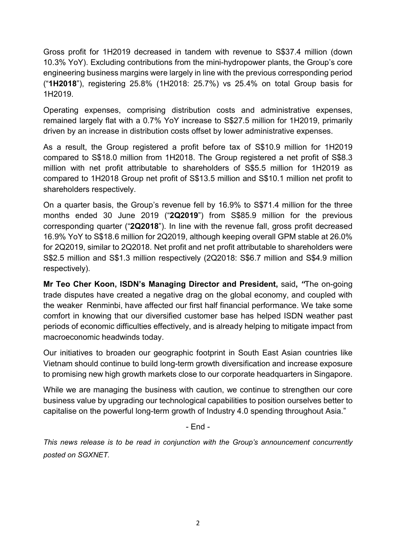Gross profit for 1H2019 decreased in tandem with revenue to S\$37.4 million (down 10.3% YoY). Excluding contributions from the mini-hydropower plants, the Group's core engineering business margins were largely in line with the previous corresponding period ("1H2018"), registering 25.8% (1H2018: 25.7%) vs 25.4% on total Group basis for 1H2019.

Operating expenses, comprising distribution costs and administrative expenses, remained largely flat with a 0.7% YoY increase to S\$27.5 million for 1H2019, primarily driven by an increase in distribution costs offset by lower administrative expenses.

As a result, the Group registered a profit before tax of S\$10.9 million for 1H2019 compared to S\$18.0 million from 1H2018. The Group registered a net profit of S\$8.3 million with net profit attributable to shareholders of S\$5.5 million for 1H2019 as compared to 1H2018 Group net profit of S\$13.5 million and S\$10.1 million net profit to shareholders respectively.

On a quarter basis, the Group's revenue fell by 16.9% to S\$71.4 million for the three months ended 30 June 2019 ("2Q2019") from S\$85.9 million for the previous corresponding quarter ("2Q2018"). In line with the revenue fall, gross profit decreased 16.9% YoY to S\$18.6 million for 2Q2019, although keeping overall GPM stable at 26.0% for 2Q2019, similar to 2Q2018. Net profit and net profit attributable to shareholders were S\$2.5 million and S\$1.3 million respectively (2Q2018: S\$6.7 million and S\$4.9 million respectively).

Mr Teo Cher Koon, ISDN's Managing Director and President, said, "The on-going trade disputes have created a negative drag on the global economy, and coupled with the weaker Renminbi, have affected our first half financial performance. We take some comfort in knowing that our diversified customer base has helped ISDN weather past periods of economic difficulties effectively, and is already helping to mitigate impact from macroeconomic headwinds today.

Our initiatives to broaden our geographic footprint in South East Asian countries like Vietnam should continue to build long-term growth diversification and increase exposure to promising new high growth markets close to our corporate headquarters in Singapore.

While we are managing the business with caution, we continue to strengthen our core business value by upgrading our technological capabilities to position ourselves better to capitalise on the powerful long-term growth of Industry 4.0 spending throughout Asia."

- End -

This news release is to be read in conjunction with the Group's announcement concurrently posted on SGXNET.